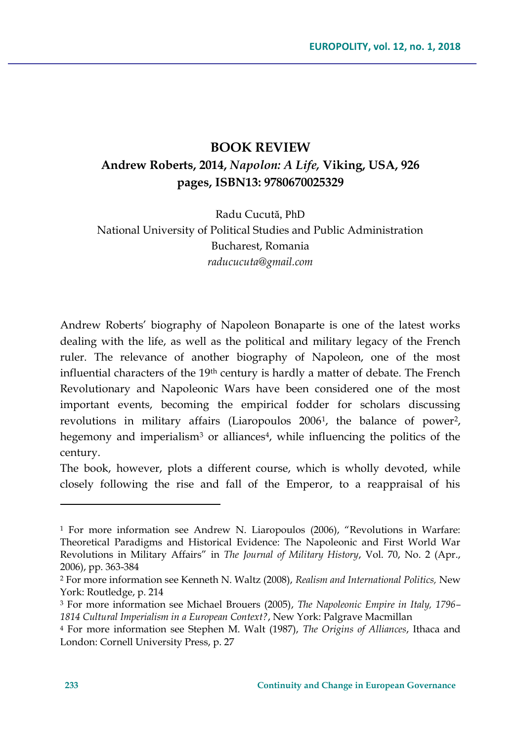## **BOOK REVIEW Andrew Roberts, 2014,** *Napolon: A Life,* **Viking, USA, 926 pages, ISBN13: 9780670025329**

Radu Cucută, PhD National University of Political Studies and Public Administration Bucharest, Romania *raducucuta@gmail.com*

Andrew Roberts' biography of Napoleon Bonaparte is one of the latest works dealing with the life, as well as the political and military legacy of the French ruler. The relevance of another biography of Napoleon, one of the most influential characters of the 19th century is hardly a matter of debate. The French Revolutionary and Napoleonic Wars have been considered one of the most important events, becoming the empirical fodder for scholars discussing revolutions in military affairs (Liaropoulos 2006<sup>1</sup>, the balance of power<sup>2</sup>, hegemony and imperialism<sup>3</sup> or alliances<sup>4</sup>, while influencing the politics of the century.

The book, however, plots a different course, which is wholly devoted, while closely following the rise and fall of the Emperor, to a reappraisal of his

 $\overline{a}$ 

<sup>1</sup> For more information see Andrew N. Liaropoulos (2006), "Revolutions in Warfare: Theoretical Paradigms and Historical Evidence: The Napoleonic and First World War Revolutions in Military Affairs" in *The Journal of Military History*, Vol. 70, No. 2 (Apr., 2006), pp. 363-384

<sup>2</sup> For more information see Kenneth N. Waltz (2008), *Realism and International Politics,* New York: Routledge, p. 214

<sup>3</sup> For more information see Michael Brouers (2005), *The Napoleonic Empire in Italy, 1796– 1814 Cultural Imperialism in a European Context?*, New York: Palgrave Macmillan

<sup>4</sup> For more information see Stephen M. Walt (1987), *The Origins of Alliances*, Ithaca and London: Cornell University Press, p. 27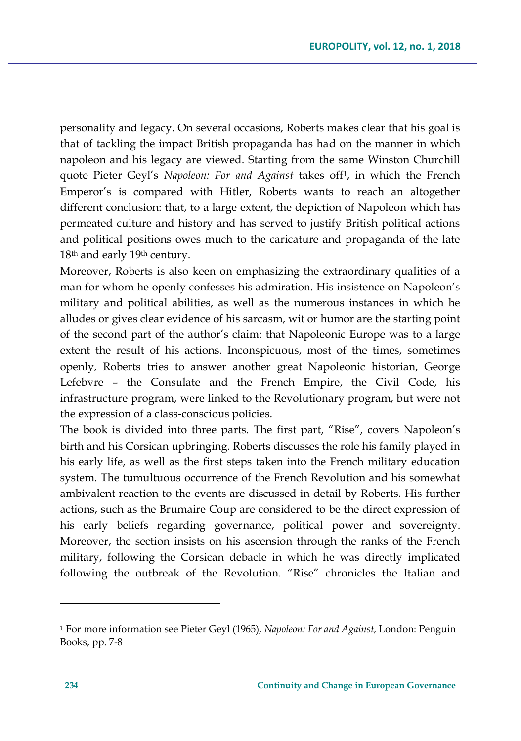personality and legacy. On several occasions, Roberts makes clear that his goal is that of tackling the impact British propaganda has had on the manner in which napoleon and his legacy are viewed. Starting from the same Winston Churchill quote Pieter Geyl's *Napoleon: For and Against* takes off<sup>1</sup> , in which the French Emperor's is compared with Hitler, Roberts wants to reach an altogether different conclusion: that, to a large extent, the depiction of Napoleon which has permeated culture and history and has served to justify British political actions and political positions owes much to the caricature and propaganda of the late 18th and early 19th century.

Moreover, Roberts is also keen on emphasizing the extraordinary qualities of a man for whom he openly confesses his admiration. His insistence on Napoleon's military and political abilities, as well as the numerous instances in which he alludes or gives clear evidence of his sarcasm, wit or humor are the starting point of the second part of the author's claim: that Napoleonic Europe was to a large extent the result of his actions. Inconspicuous, most of the times, sometimes openly, Roberts tries to answer another great Napoleonic historian, George Lefebvre – the Consulate and the French Empire, the Civil Code, his infrastructure program, were linked to the Revolutionary program, but were not the expression of a class-conscious policies.

The book is divided into three parts. The first part, "Rise", covers Napoleon's birth and his Corsican upbringing. Roberts discusses the role his family played in his early life, as well as the first steps taken into the French military education system. The tumultuous occurrence of the French Revolution and his somewhat ambivalent reaction to the events are discussed in detail by Roberts. His further actions, such as the Brumaire Coup are considered to be the direct expression of his early beliefs regarding governance, political power and sovereignty. Moreover, the section insists on his ascension through the ranks of the French military, following the Corsican debacle in which he was directly implicated following the outbreak of the Revolution. "Rise" chronicles the Italian and

 $\overline{a}$ 

<sup>1</sup> For more information see Pieter Geyl (1965), *Napoleon: For and Against,* London: Penguin Books, pp. 7-8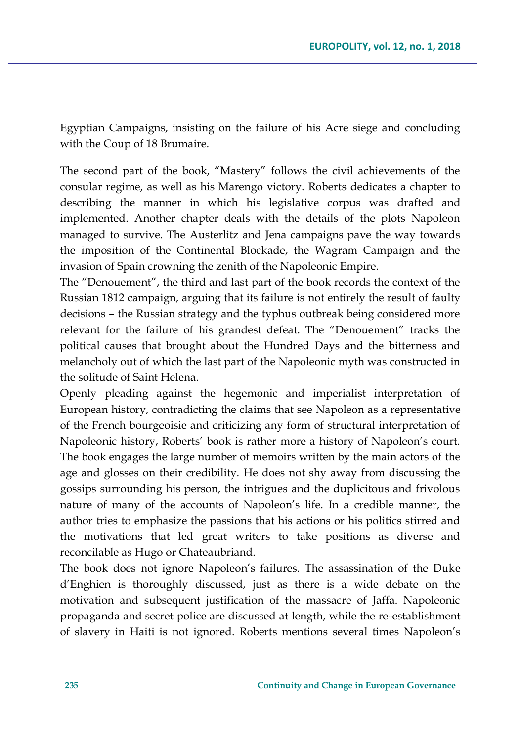Egyptian Campaigns, insisting on the failure of his Acre siege and concluding with the Coup of 18 Brumaire.

The second part of the book, "Mastery" follows the civil achievements of the consular regime, as well as his Marengo victory. Roberts dedicates a chapter to describing the manner in which his legislative corpus was drafted and implemented. Another chapter deals with the details of the plots Napoleon managed to survive. The Austerlitz and Jena campaigns pave the way towards the imposition of the Continental Blockade, the Wagram Campaign and the invasion of Spain crowning the zenith of the Napoleonic Empire.

The "Denouement", the third and last part of the book records the context of the Russian 1812 campaign, arguing that its failure is not entirely the result of faulty decisions – the Russian strategy and the typhus outbreak being considered more relevant for the failure of his grandest defeat. The "Denouement" tracks the political causes that brought about the Hundred Days and the bitterness and melancholy out of which the last part of the Napoleonic myth was constructed in the solitude of Saint Helena.

Openly pleading against the hegemonic and imperialist interpretation of European history, contradicting the claims that see Napoleon as a representative of the French bourgeoisie and criticizing any form of structural interpretation of Napoleonic history, Roberts' book is rather more a history of Napoleon's court. The book engages the large number of memoirs written by the main actors of the age and glosses on their credibility. He does not shy away from discussing the gossips surrounding his person, the intrigues and the duplicitous and frivolous nature of many of the accounts of Napoleon's life. In a credible manner, the author tries to emphasize the passions that his actions or his politics stirred and the motivations that led great writers to take positions as diverse and reconcilable as Hugo or Chateaubriand.

The book does not ignore Napoleon's failures. The assassination of the Duke d'Enghien is thoroughly discussed, just as there is a wide debate on the motivation and subsequent justification of the massacre of Jaffa. Napoleonic propaganda and secret police are discussed at length, while the re-establishment of slavery in Haiti is not ignored. Roberts mentions several times Napoleon's